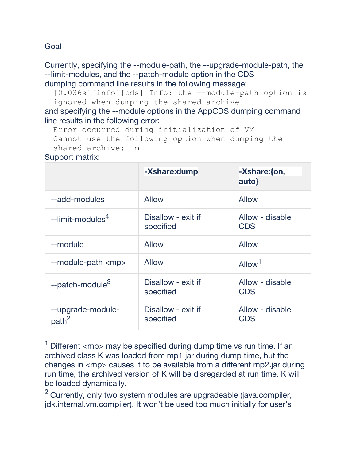# Goal

—---

### Currently, specifying the --module-path, the --upgrade-module-path, the --limit-modules, and the --patch-module option in the CDS dumping command line results in the following message:

[0.036s][info][cds] Info: the --module-path option is ignored when dumping the shared archive

and specifying the --module options in the AppCDS dumping command line results in the following error:

```
Error occurred during initialization of VM
Cannot use the following option when dumping the 
shared archive: -m
```
### Support matrix:

|                                        | -Xshare:dump                    | -Xshare: {on,<br>auto}        |
|----------------------------------------|---------------------------------|-------------------------------|
| --add-modules                          | <b>Allow</b>                    | Allow                         |
| --limit-modules <sup>4</sup>           | Disallow - exit if<br>specified | Allow - disable<br><b>CDS</b> |
| --module                               | <b>Allow</b>                    | <b>Allow</b>                  |
| $-$ module-path $\langle mp \rangle$   | <b>Allow</b>                    | Allow <sup>1</sup>            |
| --patch-module <sup>3</sup>            | Disallow - exit if<br>specified | Allow - disable<br><b>CDS</b> |
| --upgrade-module-<br>path <sup>2</sup> | Disallow - exit if<br>specified | Allow - disable<br><b>CDS</b> |

 $1$  Different  $\langle mp \rangle$  may be specified during dump time vs run time. If an archived class K was loaded from mp1.jar during dump time, but the changes in <mp> causes it to be available from a different mp2.jar during run time, the archived version of K will be disregarded at run time. K will be loaded dynamically.

<sup>2</sup> Currently, only two system modules are upgradeable (java.compiler, jdk.internal.vm.compiler). It won't be used too much initially for user's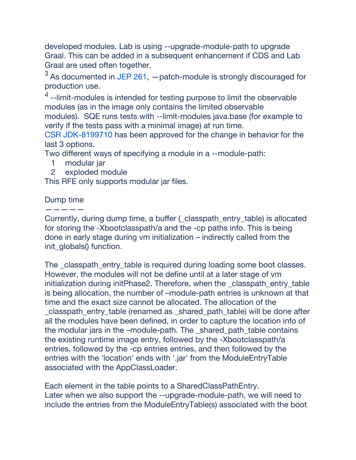developed modules. Lab is using --upgrade-module-path to upgrade Graal. This can be added in a subsequent enhancement if CDS and Lab Graal are used often together.

 $3$  As documented in [JEP 261,](http://openjdk.java.net/jeps/261)  $-$  patch-module is strongly discouraged for production use.

 $<sup>4</sup>$  --limit-modules is intended for testing purpose to limit the observable</sup> modules (as in the image only contains the limited observable modules). SQE runs tests with --limit-modules java.base (for example to verify if the tests pass with a minimal image) at run time.

[CSR JDK-8199710](https://bugs.openjdk.java.net/browse/JDK-8199710) has been approved for the change in behavior for the last 3 options.

Two different ways of specifying a module in a --module-path:

- 1 modular jar
- 2 exploded module

This RFE only supports modular jar files.

### Dump time —————

Currently, during dump time, a buffer (classpath entry table) is allocated for storing the -Xbootclasspath/a and the -cp paths info. This is being done in early stage during vm initialization – indirectly called from the init\_globals() function.

The classpath entry table is required during loading some boot classes. However, the modules will not be define until at a later stage of vm initialization during initPhase2. Therefore, when the classpath entry table is being allocation, the number of –module-path entries is unknown at that time and the exact size cannot be allocated. The allocation of the \_classpath\_entry*\_*table (renamed as \_shared\_path\_table) will be done after all the modules have been defined, in order to capture the location info of the modular jars in the –module-path. The shared path table contains the existing runtime image entry, followed by the -Xbootclasspath/a entries, followed by the -cp entries entries, and then followed by the entries with the 'location' ends with '.jar' from the ModuleEntryTable associated with the AppClassLoader.

Each element in the table points to a SharedClassPathEntry. Later when we also support the --upgrade-module-path, we will need to include the entries from the ModuleEntryTable(s) associated with the boot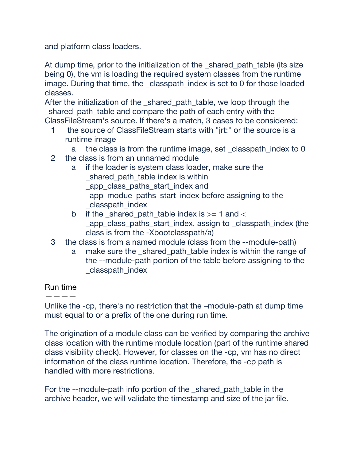and platform class loaders.

At dump time, prior to the initialization of the shared path table (its size being 0), the vm is loading the required system classes from the runtime image. During that time, the classpath index is set to 0 for those loaded classes.

After the initialization of the shared path table, we loop through the \_shared\_path\_table and compare the path of each entry with the ClassFileStream's source. If there's a match, 3 cases to be considered:

- 1 the source of ClassFileStream starts with "jrt:" or the source is a runtime image
	- a the class is from the runtime image, set \_classpath\_index to 0
- 2 the class is from an unnamed module
	- a if the loader is system class loader, make sure the shared path table index is within app\_class\_paths\_start\_index and \_app\_modue\_paths\_start\_index before assigning to the \_classpath\_index
	- b if the shared path table index is  $>= 1$  and  $<$ \_app\_class\_paths\_start\_index, assign to \_classpath\_index (the class is from the -Xbootclasspath/a)
- 3 the class is from a named module (class from the --module-path)
	- a make sure the \_shared\_path\_table index is within the range of the --module-path portion of the table before assigning to the \_classpath\_index

# Run time

# ————

Unlike the -cp, there's no restriction that the –module-path at dump time must equal to or a prefix of the one during run time.

The origination of a module class can be verified by comparing the archive class location with the runtime module location (part of the runtime shared class visibility check). However, for classes on the -cp, vm has no direct information of the class runtime location. Therefore, the -cp path is handled with more restrictions.

For the --module-path info portion of the \_shared*\_*path\_table in the archive header, we will validate the timestamp and size of the jar file.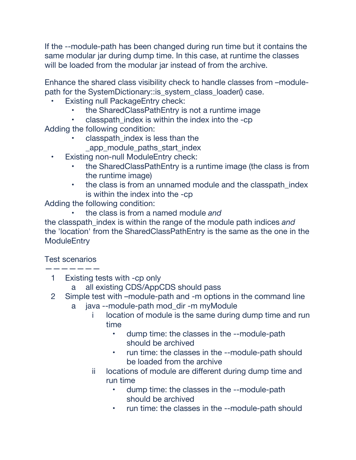If the --module-path has been changed during run time but it contains the same modular jar during dump time. In this case, at runtime the classes will be loaded from the modular jar instead of from the archive.

Enhance the shared class visibility check to handle classes from –modulepath for the SystemDictionary::is\_system\_class\_loader() case.

- **Existing null PackageEntry check:** 
	- the SharedClassPathEntry is not a runtime image
	- classpath\_index is within the index into the -cp

Adding the following condition:

- classpath index is less than the app\_module\_paths\_start\_index
- Existing non-null ModuleEntry check:
	- the SharedClassPathEntry is a runtime image (the class is from the runtime image)
	- the class is from an unnamed module and the classpath index is within the index into the -cp

Adding the following condition:

• the class is from a named module *and* 

the classpath\_index is within the range of the module path indices *and* the 'location' from the SharedClassPathEntry is the same as the one in the **ModuleEntry** 

Test scenarios

———————

- 1 Existing tests with -cp only
	- a all existing CDS/AppCDS should pass
- 2 Simple test with –module-path and -m options in the command line
	- a java --module-path mod\_dir -m myModule
		- i location of module is the same during dump time and run time
			- dump time: the classes in the --module-path should be archived
			- run time: the classes in the --module-path should be loaded from the archive
		- ii locations of module are different during dump time and run time
			- dump time: the classes in the --module-path should be archived
			- run time: the classes in the --module-path should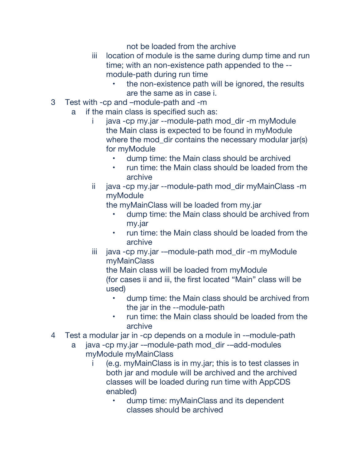not be loaded from the archive

- iii location of module is the same during dump time and run time; with an non-existence path appended to the - module-path during run time
	- the non-existence path will be ignored, the results are the same as in case i.
- 3 Test with -cp and –module-path and -m
	- a if the main class is specified such as:
		- i java -cp my.jar --module-path mod\_dir -m myModule the Main class is expected to be found in myModule where the mod\_dir contains the necessary modular jar(s) for myModule
			- dump time: the Main class should be archived
			- run time: the Main class should be loaded from the archive
		- ii java -cp my.jar --module-path mod\_dir myMainClass -m myModule

the myMainClass will be loaded from my.jar

- dump time: the Main class should be archived from my.jar
- run time: the Main class should be loaded from the archive
- iii java -cp my.jar -–module-path mod\_dir -m myModule myMainClass

the Main class will be loaded from myModule (for cases ii and iii, the first located "Main" class will be used)

- dump time: the Main class should be archived from the jar in the --module-path
- run time: the Main class should be loaded from the archive
- 4 Test a modular jar in -cp depends on a module in -–module-path
	- a java -cp my.jar -–module-path mod\_dir -–add-modules myModule myMainClass
		- i (e.g. myMainClass is in my.jar; this is to test classes in both jar and module will be archived and the archived classes will be loaded during run time with AppCDS enabled)
			- dump time: myMainClass and its dependent classes should be archived